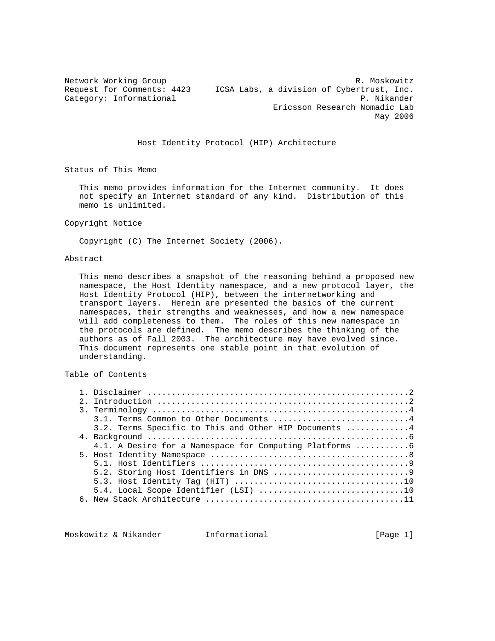Network Working Group **R. Moskowitz** R. Moskowitz Request for Comments: 4423 ICSA Labs, a division of Cybertrust, Inc. Category: Informational P. Nikander Ericsson Research Nomadic Lab May 2006

## Host Identity Protocol (HIP) Architecture

Status of This Memo

 This memo provides information for the Internet community. It does not specify an Internet standard of any kind. Distribution of this memo is unlimited.

#### Copyright Notice

Copyright (C) The Internet Society (2006).

#### Abstract

 This memo describes a snapshot of the reasoning behind a proposed new namespace, the Host Identity namespace, and a new protocol layer, the Host Identity Protocol (HIP), between the internetworking and transport layers. Herein are presented the basics of the current namespaces, their strengths and weaknesses, and how a new namespace will add completeness to them. The roles of this new namespace in the protocols are defined. The memo describes the thinking of the authors as of Fall 2003. The architecture may have evolved since. This document represents one stable point in that evolution of understanding.

Table of Contents

|  | 3.1. Terms Common to Other Documents 4                   |
|--|----------------------------------------------------------|
|  | 3.2. Terms Specific to This and Other HIP Documents 4    |
|  |                                                          |
|  | 4.1. A Desire for a Namespace for Computing Platforms  6 |
|  |                                                          |
|  |                                                          |
|  |                                                          |
|  |                                                          |
|  |                                                          |
|  |                                                          |
|  |                                                          |

Moskowitz & Nikander 11 Informational 1999 [Page 1]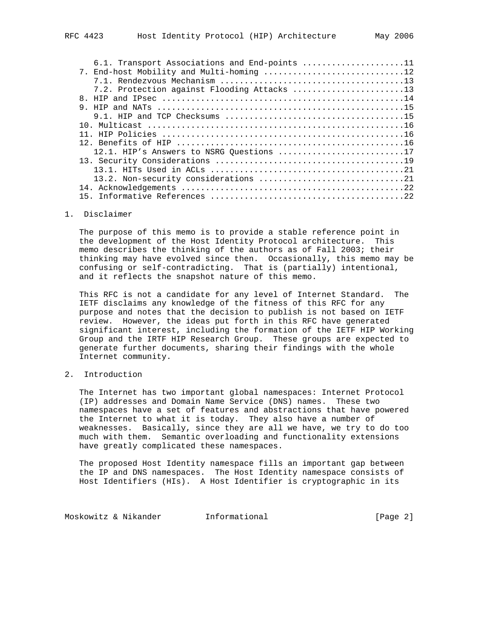| 6.1. Transport Associations and End-points 11 |
|-----------------------------------------------|
|                                               |
|                                               |
|                                               |
|                                               |
|                                               |
|                                               |
|                                               |
|                                               |
|                                               |
| 12.1. HIP's Answers to NSRG Questions 17      |
|                                               |
|                                               |
|                                               |
|                                               |
|                                               |

#### 1. Disclaimer

 The purpose of this memo is to provide a stable reference point in the development of the Host Identity Protocol architecture. This memo describes the thinking of the authors as of Fall 2003; their thinking may have evolved since then. Occasionally, this memo may be confusing or self-contradicting. That is (partially) intentional, and it reflects the snapshot nature of this memo.

 This RFC is not a candidate for any level of Internet Standard. The IETF disclaims any knowledge of the fitness of this RFC for any purpose and notes that the decision to publish is not based on IETF review. However, the ideas put forth in this RFC have generated significant interest, including the formation of the IETF HIP Working Group and the IRTF HIP Research Group. These groups are expected to generate further documents, sharing their findings with the whole Internet community.

2. Introduction

 The Internet has two important global namespaces: Internet Protocol (IP) addresses and Domain Name Service (DNS) names. These two namespaces have a set of features and abstractions that have powered the Internet to what it is today. They also have a number of weaknesses. Basically, since they are all we have, we try to do too much with them. Semantic overloading and functionality extensions have greatly complicated these namespaces.

 The proposed Host Identity namespace fills an important gap between the IP and DNS namespaces. The Host Identity namespace consists of Host Identifiers (HIs). A Host Identifier is cryptographic in its

Moskowitz & Nikander **Informational Informational** [Page 2]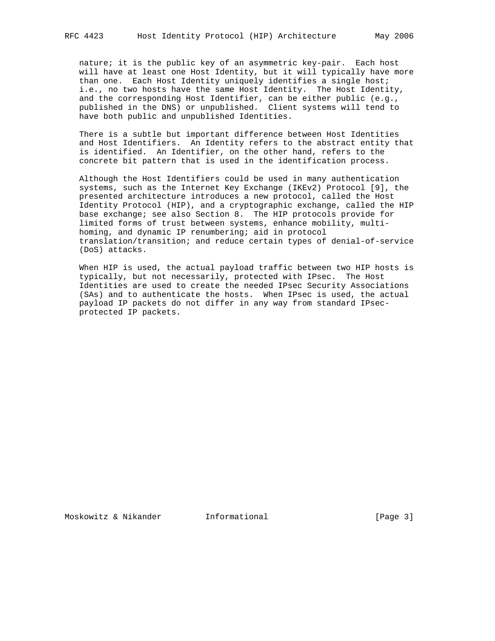nature; it is the public key of an asymmetric key-pair. Each host will have at least one Host Identity, but it will typically have more than one. Each Host Identity uniquely identifies a single host; i.e., no two hosts have the same Host Identity. The Host Identity, and the corresponding Host Identifier, can be either public (e.g., published in the DNS) or unpublished. Client systems will tend to have both public and unpublished Identities.

 There is a subtle but important difference between Host Identities and Host Identifiers. An Identity refers to the abstract entity that is identified. An Identifier, on the other hand, refers to the concrete bit pattern that is used in the identification process.

 Although the Host Identifiers could be used in many authentication systems, such as the Internet Key Exchange (IKEv2) Protocol [9], the presented architecture introduces a new protocol, called the Host Identity Protocol (HIP), and a cryptographic exchange, called the HIP base exchange; see also Section 8. The HIP protocols provide for limited forms of trust between systems, enhance mobility, multi homing, and dynamic IP renumbering; aid in protocol translation/transition; and reduce certain types of denial-of-service (DoS) attacks.

 When HIP is used, the actual payload traffic between two HIP hosts is typically, but not necessarily, protected with IPsec. The Host Identities are used to create the needed IPsec Security Associations (SAs) and to authenticate the hosts. When IPsec is used, the actual payload IP packets do not differ in any way from standard IPsec protected IP packets.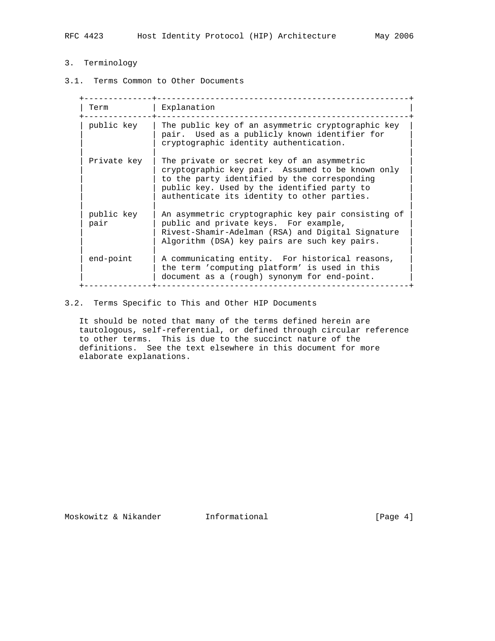# 3. Terminology

3.1. Terms Common to Other Documents

| Term               | Explanation                                                                                                                                                                                                                                  |
|--------------------|----------------------------------------------------------------------------------------------------------------------------------------------------------------------------------------------------------------------------------------------|
| public key         | The public key of an asymmetric cryptographic key<br>pair. Used as a publicly known identifier for<br>cryptographic identity authentication.                                                                                                 |
| Private key        | The private or secret key of an asymmetric<br>cryptographic key pair. Assumed to be known only<br>to the party identified by the corresponding<br>public key. Used by the identified party to<br>authenticate its identity to other parties. |
| public key<br>pair | An asymmetric cryptographic key pair consisting of<br>public and private keys. For example,<br>Rivest-Shamir-Adelman (RSA) and Digital Signature<br>Algorithm (DSA) key pairs are such key pairs.                                            |
| end-point          | A communicating entity. For historical reasons,<br>the term 'computing platform' is used in this<br>document as a (rough) synonym for end-point.                                                                                             |

# 3.2. Terms Specific to This and Other HIP Documents

 It should be noted that many of the terms defined herein are tautologous, self-referential, or defined through circular reference to other terms. This is due to the succinct nature of the definitions. See the text elsewhere in this document for more elaborate explanations.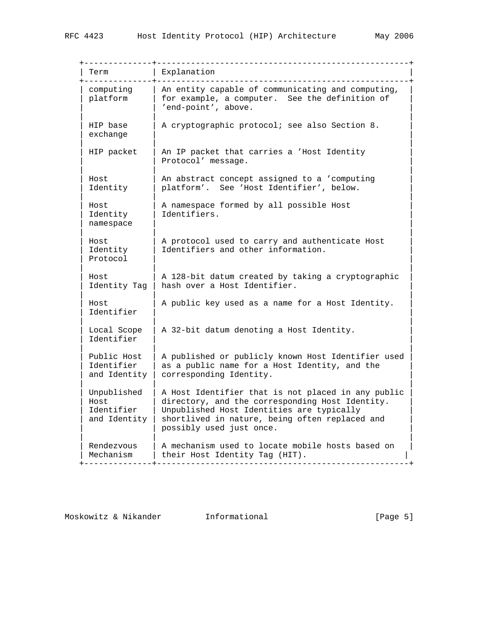| Term                                              | Explanation                                                                                                                                                                                                                      |
|---------------------------------------------------|----------------------------------------------------------------------------------------------------------------------------------------------------------------------------------------------------------------------------------|
| computing<br>platform                             | An entity capable of communicating and computing,<br>for example, a computer. See the definition of<br>'end-point', above.                                                                                                       |
| HIP base<br>exchange                              | A cryptographic protocol; see also Section 8.                                                                                                                                                                                    |
| HIP packet                                        | An IP packet that carries a 'Host Identity<br>Protocol' message.                                                                                                                                                                 |
| Host<br>Identity                                  | An abstract concept assigned to a 'computing<br>platform'. See 'Host Identifier', below.                                                                                                                                         |
| Host<br>Identity<br>namespace                     | A namespace formed by all possible Host<br>Identifiers.                                                                                                                                                                          |
| Host<br>Identity<br>Protocol                      | A protocol used to carry and authenticate Host<br>Identifiers and other information.                                                                                                                                             |
| Host<br>Identity Tag                              | A 128-bit datum created by taking a cryptographic<br>hash over a Host Identifier.                                                                                                                                                |
| Host<br>Identifier                                | A public key used as a name for a Host Identity.                                                                                                                                                                                 |
| Local Scope<br>Identifier                         | A 32-bit datum denoting a Host Identity.                                                                                                                                                                                         |
| Public Host<br>Identifier<br>and Identity         | A published or publicly known Host Identifier used<br>as a public name for a Host Identity, and the<br>corresponding Identity.                                                                                                   |
| Unpublished<br>Host<br>Identifier<br>and Identity | A Host Identifier that is not placed in any public<br>directory, and the corresponding Host Identity.<br>Unpublished Host Identities are typically<br>shortlived in nature, being often replaced and<br>possibly used just once. |
| Rendezvous<br>Mechanism                           | A mechanism used to locate mobile hosts based on<br>their Host Identity Tag (HIT).                                                                                                                                               |

Moskowitz & Nikander 1nformational 11.1 [Page 5]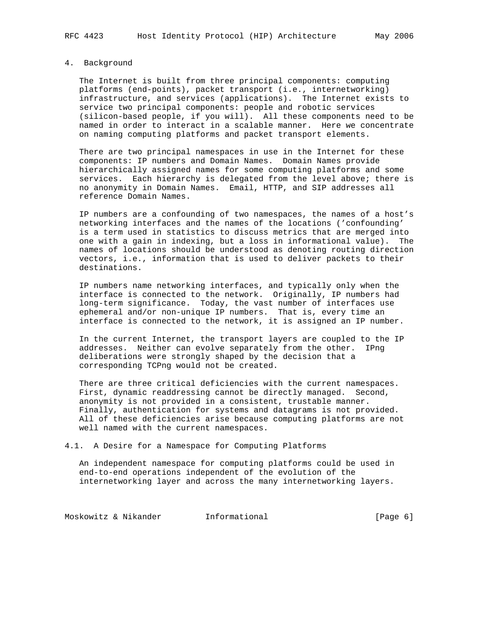# 4. Background

 The Internet is built from three principal components: computing platforms (end-points), packet transport (i.e., internetworking) infrastructure, and services (applications). The Internet exists to service two principal components: people and robotic services (silicon-based people, if you will). All these components need to be named in order to interact in a scalable manner. Here we concentrate on naming computing platforms and packet transport elements.

 There are two principal namespaces in use in the Internet for these components: IP numbers and Domain Names. Domain Names provide hierarchically assigned names for some computing platforms and some services. Each hierarchy is delegated from the level above; there is no anonymity in Domain Names. Email, HTTP, and SIP addresses all reference Domain Names.

 IP numbers are a confounding of two namespaces, the names of a host's networking interfaces and the names of the locations ('confounding' is a term used in statistics to discuss metrics that are merged into one with a gain in indexing, but a loss in informational value). The names of locations should be understood as denoting routing direction vectors, i.e., information that is used to deliver packets to their destinations.

 IP numbers name networking interfaces, and typically only when the interface is connected to the network. Originally, IP numbers had long-term significance. Today, the vast number of interfaces use ephemeral and/or non-unique IP numbers. That is, every time an interface is connected to the network, it is assigned an IP number.

 In the current Internet, the transport layers are coupled to the IP addresses. Neither can evolve separately from the other. IPng deliberations were strongly shaped by the decision that a corresponding TCPng would not be created.

 There are three critical deficiencies with the current namespaces. First, dynamic readdressing cannot be directly managed. Second, anonymity is not provided in a consistent, trustable manner. Finally, authentication for systems and datagrams is not provided. All of these deficiencies arise because computing platforms are not well named with the current namespaces.

4.1. A Desire for a Namespace for Computing Platforms

 An independent namespace for computing platforms could be used in end-to-end operations independent of the evolution of the internetworking layer and across the many internetworking layers.

Moskowitz & Nikander 1nformational 1000 [Page 6]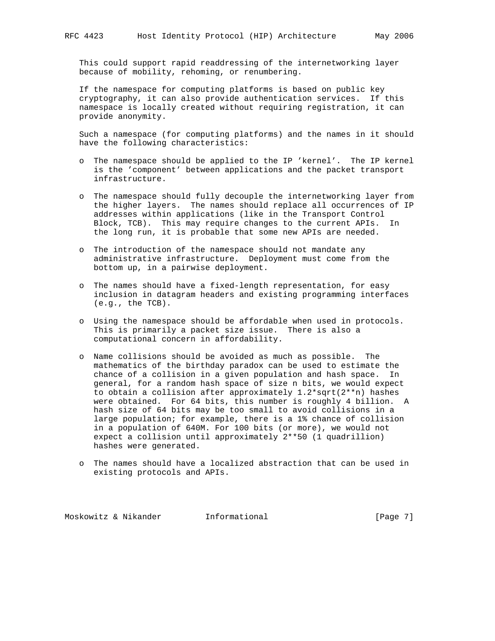This could support rapid readdressing of the internetworking layer because of mobility, rehoming, or renumbering.

 If the namespace for computing platforms is based on public key cryptography, it can also provide authentication services. If this namespace is locally created without requiring registration, it can provide anonymity.

 Such a namespace (for computing platforms) and the names in it should have the following characteristics:

- o The namespace should be applied to the IP 'kernel'. The IP kernel is the 'component' between applications and the packet transport infrastructure.
- o The namespace should fully decouple the internetworking layer from the higher layers. The names should replace all occurrences of IP addresses within applications (like in the Transport Control Block, TCB). This may require changes to the current APIs. In the long run, it is probable that some new APIs are needed.
- o The introduction of the namespace should not mandate any administrative infrastructure. Deployment must come from the bottom up, in a pairwise deployment.
- o The names should have a fixed-length representation, for easy inclusion in datagram headers and existing programming interfaces (e.g., the TCB).
- o Using the namespace should be affordable when used in protocols. This is primarily a packet size issue. There is also a computational concern in affordability.
- o Name collisions should be avoided as much as possible. The mathematics of the birthday paradox can be used to estimate the chance of a collision in a given population and hash space. In general, for a random hash space of size n bits, we would expect to obtain a collision after approximately 1.2\*sqrt(2\*\*n) hashes were obtained. For 64 bits, this number is roughly 4 billion. A hash size of 64 bits may be too small to avoid collisions in a large population; for example, there is a 1% chance of collision in a population of 640M. For 100 bits (or more), we would not expect a collision until approximately 2\*\*50 (1 quadrillion) hashes were generated.
- o The names should have a localized abstraction that can be used in existing protocols and APIs.

Moskowitz & Nikander 1. Informational 1. [Page 7]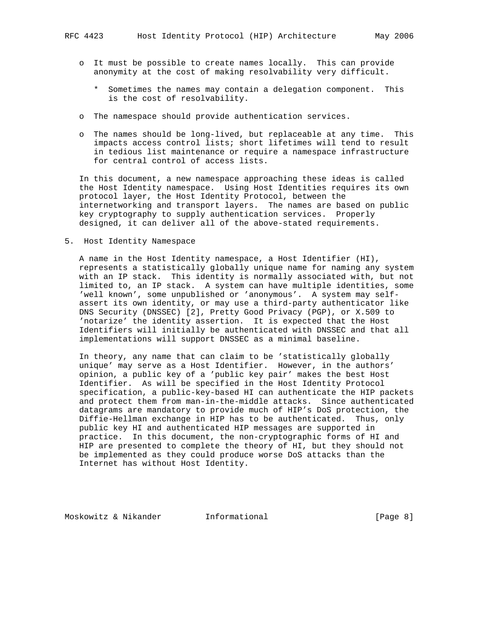- o It must be possible to create names locally. This can provide anonymity at the cost of making resolvability very difficult.
	- \* Sometimes the names may contain a delegation component. This is the cost of resolvability.
- o The namespace should provide authentication services.
- o The names should be long-lived, but replaceable at any time. This impacts access control lists; short lifetimes will tend to result in tedious list maintenance or require a namespace infrastructure for central control of access lists.

 In this document, a new namespace approaching these ideas is called the Host Identity namespace. Using Host Identities requires its own protocol layer, the Host Identity Protocol, between the internetworking and transport layers. The names are based on public key cryptography to supply authentication services. Properly designed, it can deliver all of the above-stated requirements.

5. Host Identity Namespace

 A name in the Host Identity namespace, a Host Identifier (HI), represents a statistically globally unique name for naming any system with an IP stack. This identity is normally associated with, but not limited to, an IP stack. A system can have multiple identities, some 'well known', some unpublished or 'anonymous'. A system may self assert its own identity, or may use a third-party authenticator like DNS Security (DNSSEC) [2], Pretty Good Privacy (PGP), or X.509 to 'notarize' the identity assertion. It is expected that the Host Identifiers will initially be authenticated with DNSSEC and that all implementations will support DNSSEC as a minimal baseline.

 In theory, any name that can claim to be 'statistically globally unique' may serve as a Host Identifier. However, in the authors' opinion, a public key of a 'public key pair' makes the best Host Identifier. As will be specified in the Host Identity Protocol specification, a public-key-based HI can authenticate the HIP packets and protect them from man-in-the-middle attacks. Since authenticated datagrams are mandatory to provide much of HIP's DoS protection, the Diffie-Hellman exchange in HIP has to be authenticated. Thus, only public key HI and authenticated HIP messages are supported in practice. In this document, the non-cryptographic forms of HI and HIP are presented to complete the theory of HI, but they should not be implemented as they could produce worse DoS attacks than the Internet has without Host Identity.

Moskowitz & Nikander **Informational Informational** [Page 8]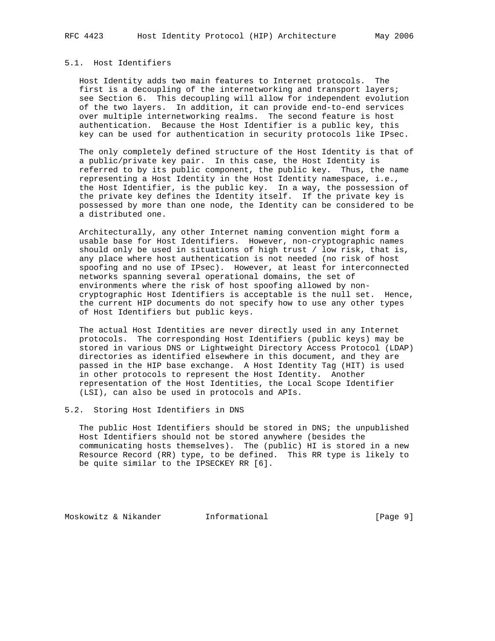## 5.1. Host Identifiers

 Host Identity adds two main features to Internet protocols. The first is a decoupling of the internetworking and transport layers; see Section 6. This decoupling will allow for independent evolution of the two layers. In addition, it can provide end-to-end services over multiple internetworking realms. The second feature is host authentication. Because the Host Identifier is a public key, this key can be used for authentication in security protocols like IPsec.

 The only completely defined structure of the Host Identity is that of a public/private key pair. In this case, the Host Identity is referred to by its public component, the public key. Thus, the name representing a Host Identity in the Host Identity namespace, i.e., the Host Identifier, is the public key. In a way, the possession of the private key defines the Identity itself. If the private key is possessed by more than one node, the Identity can be considered to be a distributed one.

 Architecturally, any other Internet naming convention might form a usable base for Host Identifiers. However, non-cryptographic names should only be used in situations of high trust / low risk, that is, any place where host authentication is not needed (no risk of host spoofing and no use of IPsec). However, at least for interconnected networks spanning several operational domains, the set of environments where the risk of host spoofing allowed by non cryptographic Host Identifiers is acceptable is the null set. Hence, the current HIP documents do not specify how to use any other types of Host Identifiers but public keys.

 The actual Host Identities are never directly used in any Internet protocols. The corresponding Host Identifiers (public keys) may be stored in various DNS or Lightweight Directory Access Protocol (LDAP) directories as identified elsewhere in this document, and they are passed in the HIP base exchange. A Host Identity Tag (HIT) is used in other protocols to represent the Host Identity. Another representation of the Host Identities, the Local Scope Identifier (LSI), can also be used in protocols and APIs.

### 5.2. Storing Host Identifiers in DNS

 The public Host Identifiers should be stored in DNS; the unpublished Host Identifiers should not be stored anywhere (besides the communicating hosts themselves). The (public) HI is stored in a new Resource Record (RR) type, to be defined. This RR type is likely to be quite similar to the IPSECKEY RR [6].

Moskowitz & Nikander 1nformational 100 (Page 9)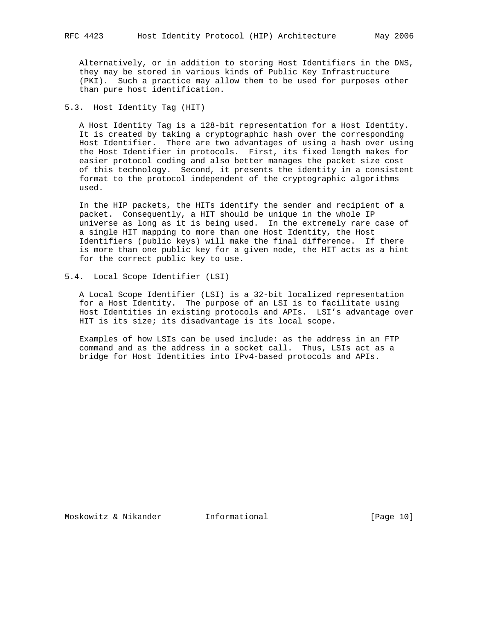Alternatively, or in addition to storing Host Identifiers in the DNS, they may be stored in various kinds of Public Key Infrastructure (PKI). Such a practice may allow them to be used for purposes other than pure host identification.

5.3. Host Identity Tag (HIT)

 A Host Identity Tag is a 128-bit representation for a Host Identity. It is created by taking a cryptographic hash over the corresponding Host Identifier. There are two advantages of using a hash over using the Host Identifier in protocols. First, its fixed length makes for easier protocol coding and also better manages the packet size cost of this technology. Second, it presents the identity in a consistent format to the protocol independent of the cryptographic algorithms used.

 In the HIP packets, the HITs identify the sender and recipient of a packet. Consequently, a HIT should be unique in the whole IP universe as long as it is being used. In the extremely rare case of a single HIT mapping to more than one Host Identity, the Host Identifiers (public keys) will make the final difference. If there is more than one public key for a given node, the HIT acts as a hint for the correct public key to use.

5.4. Local Scope Identifier (LSI)

 A Local Scope Identifier (LSI) is a 32-bit localized representation for a Host Identity. The purpose of an LSI is to facilitate using Host Identities in existing protocols and APIs. LSI's advantage over HIT is its size; its disadvantage is its local scope.

 Examples of how LSIs can be used include: as the address in an FTP command and as the address in a socket call. Thus, LSIs act as a bridge for Host Identities into IPv4-based protocols and APIs.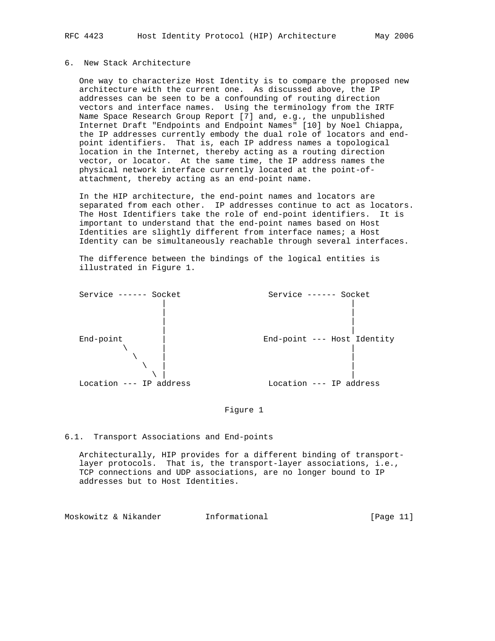# 6. New Stack Architecture

 One way to characterize Host Identity is to compare the proposed new architecture with the current one. As discussed above, the IP addresses can be seen to be a confounding of routing direction vectors and interface names. Using the terminology from the IRTF Name Space Research Group Report [7] and, e.g., the unpublished Internet Draft "Endpoints and Endpoint Names" [10] by Noel Chiappa, the IP addresses currently embody the dual role of locators and end point identifiers. That is, each IP address names a topological location in the Internet, thereby acting as a routing direction vector, or locator. At the same time, the IP address names the physical network interface currently located at the point-of attachment, thereby acting as an end-point name.

 In the HIP architecture, the end-point names and locators are separated from each other. IP addresses continue to act as locators. The Host Identifiers take the role of end-point identifiers. It is important to understand that the end-point names based on Host Identities are slightly different from interface names; a Host Identity can be simultaneously reachable through several interfaces.

 The difference between the bindings of the logical entities is illustrated in Figure 1.



# Figure 1

#### 6.1. Transport Associations and End-points

 Architecturally, HIP provides for a different binding of transport layer protocols. That is, the transport-layer associations, i.e., TCP connections and UDP associations, are no longer bound to IP addresses but to Host Identities.

Moskowitz & Nikander Informational [Page 11]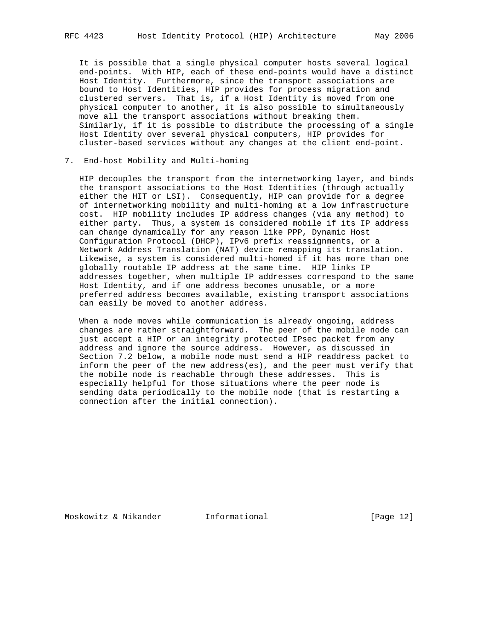It is possible that a single physical computer hosts several logical end-points. With HIP, each of these end-points would have a distinct Host Identity. Furthermore, since the transport associations are bound to Host Identities, HIP provides for process migration and clustered servers. That is, if a Host Identity is moved from one physical computer to another, it is also possible to simultaneously move all the transport associations without breaking them. Similarly, if it is possible to distribute the processing of a single Host Identity over several physical computers, HIP provides for cluster-based services without any changes at the client end-point.

### 7. End-host Mobility and Multi-homing

 HIP decouples the transport from the internetworking layer, and binds the transport associations to the Host Identities (through actually either the HIT or LSI). Consequently, HIP can provide for a degree of internetworking mobility and multi-homing at a low infrastructure cost. HIP mobility includes IP address changes (via any method) to either party. Thus, a system is considered mobile if its IP address can change dynamically for any reason like PPP, Dynamic Host Configuration Protocol (DHCP), IPv6 prefix reassignments, or a Network Address Translation (NAT) device remapping its translation. Likewise, a system is considered multi-homed if it has more than one globally routable IP address at the same time. HIP links IP addresses together, when multiple IP addresses correspond to the same Host Identity, and if one address becomes unusable, or a more preferred address becomes available, existing transport associations can easily be moved to another address.

 When a node moves while communication is already ongoing, address changes are rather straightforward. The peer of the mobile node can just accept a HIP or an integrity protected IPsec packet from any address and ignore the source address. However, as discussed in Section 7.2 below, a mobile node must send a HIP readdress packet to inform the peer of the new address(es), and the peer must verify that the mobile node is reachable through these addresses. This is especially helpful for those situations where the peer node is sending data periodically to the mobile node (that is restarting a connection after the initial connection).

Moskowitz & Nikander Informational [Page 12]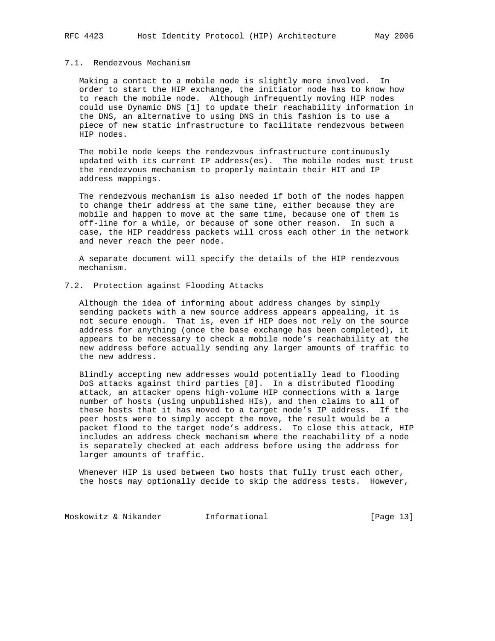## 7.1. Rendezvous Mechanism

 Making a contact to a mobile node is slightly more involved. In order to start the HIP exchange, the initiator node has to know how to reach the mobile node. Although infrequently moving HIP nodes could use Dynamic DNS [1] to update their reachability information in the DNS, an alternative to using DNS in this fashion is to use a piece of new static infrastructure to facilitate rendezvous between HIP nodes.

 The mobile node keeps the rendezvous infrastructure continuously updated with its current IP address(es). The mobile nodes must trust the rendezvous mechanism to properly maintain their HIT and IP address mappings.

 The rendezvous mechanism is also needed if both of the nodes happen to change their address at the same time, either because they are mobile and happen to move at the same time, because one of them is off-line for a while, or because of some other reason. In such a case, the HIP readdress packets will cross each other in the network and never reach the peer node.

 A separate document will specify the details of the HIP rendezvous mechanism.

# 7.2. Protection against Flooding Attacks

 Although the idea of informing about address changes by simply sending packets with a new source address appears appealing, it is not secure enough. That is, even if HIP does not rely on the source address for anything (once the base exchange has been completed), it appears to be necessary to check a mobile node's reachability at the new address before actually sending any larger amounts of traffic to the new address.

 Blindly accepting new addresses would potentially lead to flooding DoS attacks against third parties [8]. In a distributed flooding attack, an attacker opens high-volume HIP connections with a large number of hosts (using unpublished HIs), and then claims to all of these hosts that it has moved to a target node's IP address. If the peer hosts were to simply accept the move, the result would be a packet flood to the target node's address. To close this attack, HIP includes an address check mechanism where the reachability of a node is separately checked at each address before using the address for larger amounts of traffic.

 Whenever HIP is used between two hosts that fully trust each other, the hosts may optionally decide to skip the address tests. However,

Moskowitz & Nikander 11 Informational 1998 [Page 13]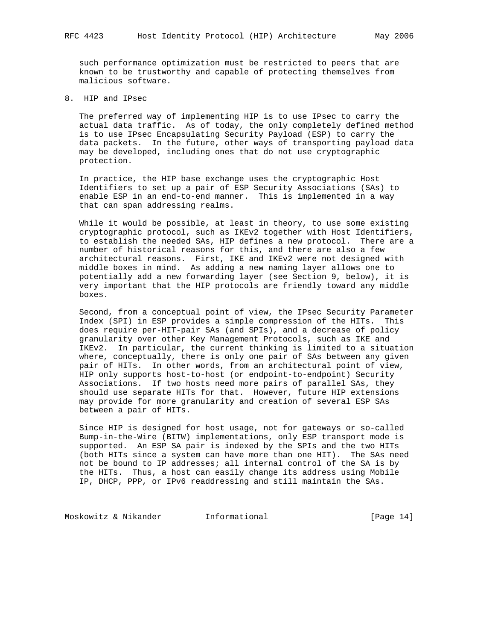such performance optimization must be restricted to peers that are known to be trustworthy and capable of protecting themselves from malicious software.

8. HIP and IPsec

 The preferred way of implementing HIP is to use IPsec to carry the actual data traffic. As of today, the only completely defined method is to use IPsec Encapsulating Security Payload (ESP) to carry the data packets. In the future, other ways of transporting payload data may be developed, including ones that do not use cryptographic protection.

 In practice, the HIP base exchange uses the cryptographic Host Identifiers to set up a pair of ESP Security Associations (SAs) to enable ESP in an end-to-end manner. This is implemented in a way that can span addressing realms.

 While it would be possible, at least in theory, to use some existing cryptographic protocol, such as IKEv2 together with Host Identifiers, to establish the needed SAs, HIP defines a new protocol. There are a number of historical reasons for this, and there are also a few architectural reasons. First, IKE and IKEv2 were not designed with middle boxes in mind. As adding a new naming layer allows one to potentially add a new forwarding layer (see Section 9, below), it is very important that the HIP protocols are friendly toward any middle boxes.

 Second, from a conceptual point of view, the IPsec Security Parameter Index (SPI) in ESP provides a simple compression of the HITs. This does require per-HIT-pair SAs (and SPIs), and a decrease of policy granularity over other Key Management Protocols, such as IKE and IKEv2. In particular, the current thinking is limited to a situation where, conceptually, there is only one pair of SAs between any given pair of HITs. In other words, from an architectural point of view, HIP only supports host-to-host (or endpoint-to-endpoint) Security Associations. If two hosts need more pairs of parallel SAs, they should use separate HITs for that. However, future HIP extensions may provide for more granularity and creation of several ESP SAs between a pair of HITs.

 Since HIP is designed for host usage, not for gateways or so-called Bump-in-the-Wire (BITW) implementations, only ESP transport mode is supported. An ESP SA pair is indexed by the SPIs and the two HITs (both HITs since a system can have more than one HIT). The SAs need not be bound to IP addresses; all internal control of the SA is by the HITs. Thus, a host can easily change its address using Mobile IP, DHCP, PPP, or IPv6 readdressing and still maintain the SAs.

Moskowitz & Nikander 11 Informational [Page 14]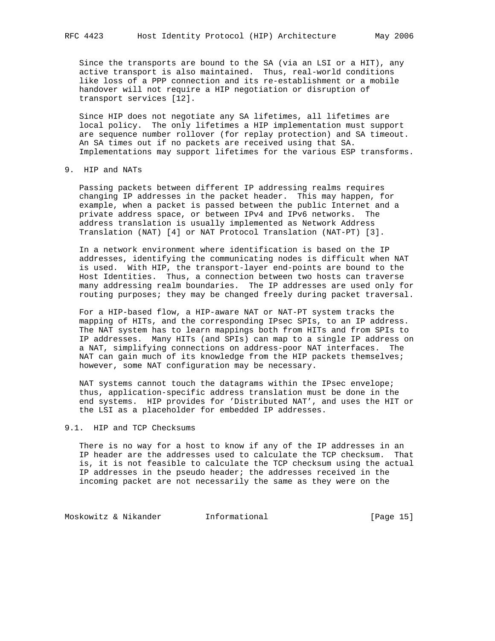Since the transports are bound to the SA (via an LSI or a HIT), any active transport is also maintained. Thus, real-world conditions like loss of a PPP connection and its re-establishment or a mobile handover will not require a HIP negotiation or disruption of transport services [12].

 Since HIP does not negotiate any SA lifetimes, all lifetimes are local policy. The only lifetimes a HIP implementation must support are sequence number rollover (for replay protection) and SA timeout. An SA times out if no packets are received using that SA. Implementations may support lifetimes for the various ESP transforms.

### 9. HIP and NATs

 Passing packets between different IP addressing realms requires changing IP addresses in the packet header. This may happen, for example, when a packet is passed between the public Internet and a private address space, or between IPv4 and IPv6 networks. The address translation is usually implemented as Network Address Translation (NAT) [4] or NAT Protocol Translation (NAT-PT) [3].

 In a network environment where identification is based on the IP addresses, identifying the communicating nodes is difficult when NAT is used. With HIP, the transport-layer end-points are bound to the Host Identities. Thus, a connection between two hosts can traverse many addressing realm boundaries. The IP addresses are used only for routing purposes; they may be changed freely during packet traversal.

 For a HIP-based flow, a HIP-aware NAT or NAT-PT system tracks the mapping of HITs, and the corresponding IPsec SPIs, to an IP address. The NAT system has to learn mappings both from HITs and from SPIs to IP addresses. Many HITs (and SPIs) can map to a single IP address on a NAT, simplifying connections on address-poor NAT interfaces. The NAT can gain much of its knowledge from the HIP packets themselves; however, some NAT configuration may be necessary.

 NAT systems cannot touch the datagrams within the IPsec envelope; thus, application-specific address translation must be done in the end systems. HIP provides for 'Distributed NAT', and uses the HIT or the LSI as a placeholder for embedded IP addresses.

## 9.1. HIP and TCP Checksums

 There is no way for a host to know if any of the IP addresses in an IP header are the addresses used to calculate the TCP checksum. That is, it is not feasible to calculate the TCP checksum using the actual IP addresses in the pseudo header; the addresses received in the incoming packet are not necessarily the same as they were on the

Moskowitz & Nikander 15 Informational 1998 [Page 15]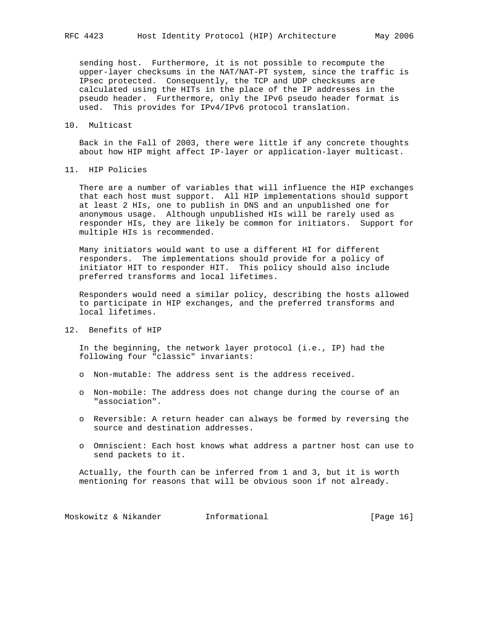sending host. Furthermore, it is not possible to recompute the upper-layer checksums in the NAT/NAT-PT system, since the traffic is IPsec protected. Consequently, the TCP and UDP checksums are calculated using the HITs in the place of the IP addresses in the pseudo header. Furthermore, only the IPv6 pseudo header format is used. This provides for IPv4/IPv6 protocol translation.

#### 10. Multicast

 Back in the Fall of 2003, there were little if any concrete thoughts about how HIP might affect IP-layer or application-layer multicast.

11. HIP Policies

 There are a number of variables that will influence the HIP exchanges that each host must support. All HIP implementations should support at least 2 HIs, one to publish in DNS and an unpublished one for anonymous usage. Although unpublished HIs will be rarely used as responder HIs, they are likely be common for initiators. Support for multiple HIs is recommended.

 Many initiators would want to use a different HI for different responders. The implementations should provide for a policy of initiator HIT to responder HIT. This policy should also include preferred transforms and local lifetimes.

 Responders would need a similar policy, describing the hosts allowed to participate in HIP exchanges, and the preferred transforms and local lifetimes.

# 12. Benefits of HIP

 In the beginning, the network layer protocol (i.e., IP) had the following four "classic" invariants:

- o Non-mutable: The address sent is the address received.
- o Non-mobile: The address does not change during the course of an "association".
- o Reversible: A return header can always be formed by reversing the source and destination addresses.
- o Omniscient: Each host knows what address a partner host can use to send packets to it.

 Actually, the fourth can be inferred from 1 and 3, but it is worth mentioning for reasons that will be obvious soon if not already.

Moskowitz & Nikander 10 Informational 1999 [Page 16]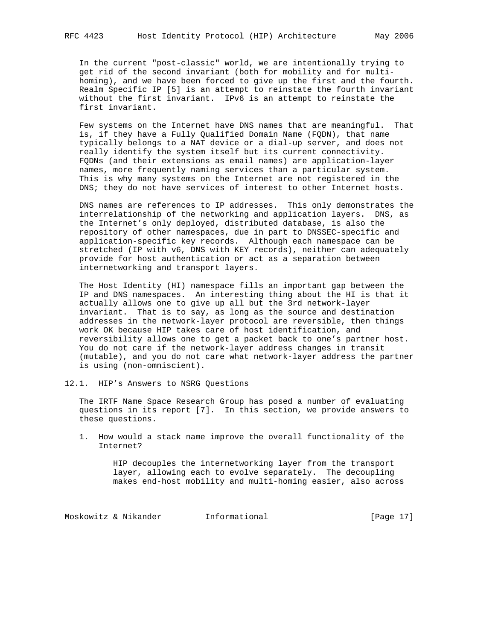In the current "post-classic" world, we are intentionally trying to get rid of the second invariant (both for mobility and for multi homing), and we have been forced to give up the first and the fourth. Realm Specific IP [5] is an attempt to reinstate the fourth invariant without the first invariant. IPv6 is an attempt to reinstate the first invariant.

 Few systems on the Internet have DNS names that are meaningful. That is, if they have a Fully Qualified Domain Name (FQDN), that name typically belongs to a NAT device or a dial-up server, and does not really identify the system itself but its current connectivity. FQDNs (and their extensions as email names) are application-layer names, more frequently naming services than a particular system. This is why many systems on the Internet are not registered in the DNS; they do not have services of interest to other Internet hosts.

 DNS names are references to IP addresses. This only demonstrates the interrelationship of the networking and application layers. DNS, as the Internet's only deployed, distributed database, is also the repository of other namespaces, due in part to DNSSEC-specific and application-specific key records. Although each namespace can be stretched (IP with v6, DNS with KEY records), neither can adequately provide for host authentication or act as a separation between internetworking and transport layers.

 The Host Identity (HI) namespace fills an important gap between the IP and DNS namespaces. An interesting thing about the HI is that it actually allows one to give up all but the 3rd network-layer invariant. That is to say, as long as the source and destination addresses in the network-layer protocol are reversible, then things work OK because HIP takes care of host identification, and reversibility allows one to get a packet back to one's partner host. You do not care if the network-layer address changes in transit (mutable), and you do not care what network-layer address the partner is using (non-omniscient).

12.1. HIP's Answers to NSRG Questions

 The IRTF Name Space Research Group has posed a number of evaluating questions in its report [7]. In this section, we provide answers to these questions.

 1. How would a stack name improve the overall functionality of the Internet?

> HIP decouples the internetworking layer from the transport layer, allowing each to evolve separately. The decoupling makes end-host mobility and multi-homing easier, also across

Moskowitz & Nikander 11 Informational [Page 17]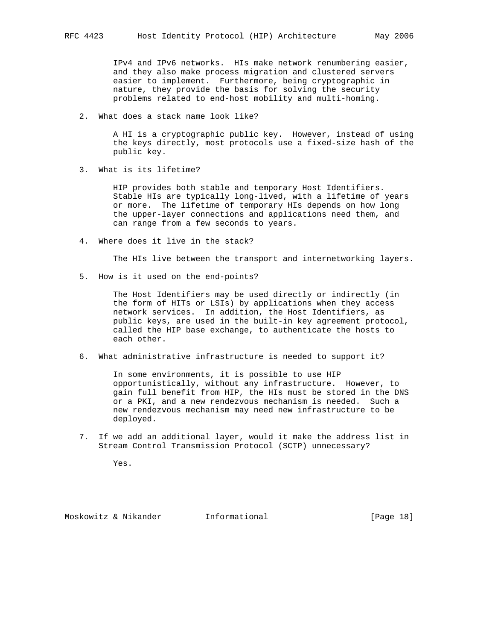IPv4 and IPv6 networks. HIs make network renumbering easier, and they also make process migration and clustered servers easier to implement. Furthermore, being cryptographic in nature, they provide the basis for solving the security problems related to end-host mobility and multi-homing.

2. What does a stack name look like?

 A HI is a cryptographic public key. However, instead of using the keys directly, most protocols use a fixed-size hash of the public key.

3. What is its lifetime?

 HIP provides both stable and temporary Host Identifiers. Stable HIs are typically long-lived, with a lifetime of years or more. The lifetime of temporary HIs depends on how long the upper-layer connections and applications need them, and can range from a few seconds to years.

4. Where does it live in the stack?

The HIs live between the transport and internetworking layers.

5. How is it used on the end-points?

 The Host Identifiers may be used directly or indirectly (in the form of HITs or LSIs) by applications when they access network services. In addition, the Host Identifiers, as public keys, are used in the built-in key agreement protocol, called the HIP base exchange, to authenticate the hosts to each other.

6. What administrative infrastructure is needed to support it?

 In some environments, it is possible to use HIP opportunistically, without any infrastructure. However, to gain full benefit from HIP, the HIs must be stored in the DNS or a PKI, and a new rendezvous mechanism is needed. Such a new rendezvous mechanism may need new infrastructure to be deployed.

 7. If we add an additional layer, would it make the address list in Stream Control Transmission Protocol (SCTP) unnecessary?

Yes.

Moskowitz & Nikander Informational [Page 18]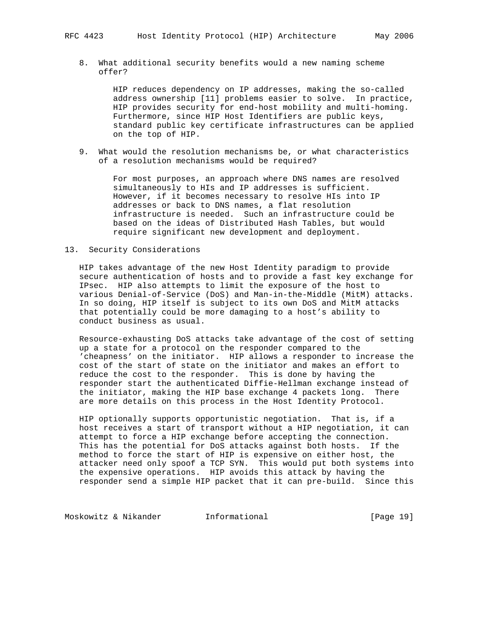8. What additional security benefits would a new naming scheme offer?

> HIP reduces dependency on IP addresses, making the so-called address ownership [11] problems easier to solve. In practice, HIP provides security for end-host mobility and multi-homing. Furthermore, since HIP Host Identifiers are public keys, standard public key certificate infrastructures can be applied on the top of HIP.

 9. What would the resolution mechanisms be, or what characteristics of a resolution mechanisms would be required?

> For most purposes, an approach where DNS names are resolved simultaneously to HIs and IP addresses is sufficient. However, if it becomes necessary to resolve HIs into IP addresses or back to DNS names, a flat resolution infrastructure is needed. Such an infrastructure could be based on the ideas of Distributed Hash Tables, but would require significant new development and deployment.

## 13. Security Considerations

 HIP takes advantage of the new Host Identity paradigm to provide secure authentication of hosts and to provide a fast key exchange for IPsec. HIP also attempts to limit the exposure of the host to various Denial-of-Service (DoS) and Man-in-the-Middle (MitM) attacks. In so doing, HIP itself is subject to its own DoS and MitM attacks that potentially could be more damaging to a host's ability to conduct business as usual.

 Resource-exhausting DoS attacks take advantage of the cost of setting up a state for a protocol on the responder compared to the 'cheapness' on the initiator. HIP allows a responder to increase the cost of the start of state on the initiator and makes an effort to reduce the cost to the responder. This is done by having the responder start the authenticated Diffie-Hellman exchange instead of the initiator, making the HIP base exchange 4 packets long. There are more details on this process in the Host Identity Protocol.

 HIP optionally supports opportunistic negotiation. That is, if a host receives a start of transport without a HIP negotiation, it can attempt to force a HIP exchange before accepting the connection. This has the potential for DoS attacks against both hosts. If the method to force the start of HIP is expensive on either host, the attacker need only spoof a TCP SYN. This would put both systems into the expensive operations. HIP avoids this attack by having the responder send a simple HIP packet that it can pre-build. Since this

Moskowitz & Nikander 1nformational 1917 [Page 19]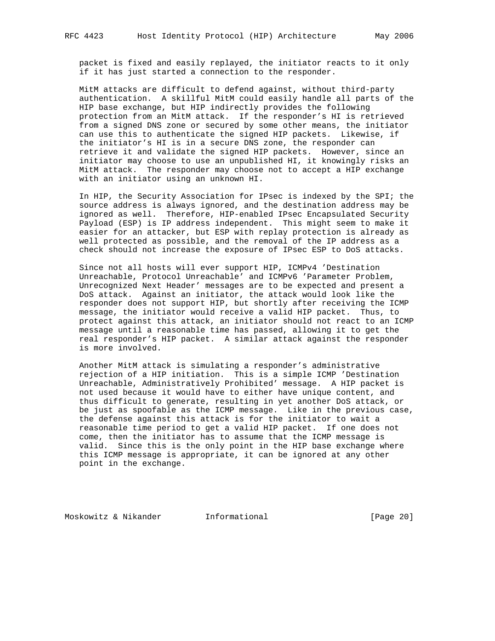packet is fixed and easily replayed, the initiator reacts to it only if it has just started a connection to the responder.

 MitM attacks are difficult to defend against, without third-party authentication. A skillful MitM could easily handle all parts of the HIP base exchange, but HIP indirectly provides the following protection from an MitM attack. If the responder's HI is retrieved from a signed DNS zone or secured by some other means, the initiator can use this to authenticate the signed HIP packets. Likewise, if the initiator's HI is in a secure DNS zone, the responder can retrieve it and validate the signed HIP packets. However, since an initiator may choose to use an unpublished HI, it knowingly risks an MitM attack. The responder may choose not to accept a HIP exchange with an initiator using an unknown HI.

 In HIP, the Security Association for IPsec is indexed by the SPI; the source address is always ignored, and the destination address may be ignored as well. Therefore, HIP-enabled IPsec Encapsulated Security Payload (ESP) is IP address independent. This might seem to make it easier for an attacker, but ESP with replay protection is already as well protected as possible, and the removal of the IP address as a check should not increase the exposure of IPsec ESP to DoS attacks.

 Since not all hosts will ever support HIP, ICMPv4 'Destination Unreachable, Protocol Unreachable' and ICMPv6 'Parameter Problem, Unrecognized Next Header' messages are to be expected and present a DoS attack. Against an initiator, the attack would look like the responder does not support HIP, but shortly after receiving the ICMP message, the initiator would receive a valid HIP packet. Thus, to protect against this attack, an initiator should not react to an ICMP message until a reasonable time has passed, allowing it to get the real responder's HIP packet. A similar attack against the responder is more involved.

 Another MitM attack is simulating a responder's administrative rejection of a HIP initiation. This is a simple ICMP 'Destination Unreachable, Administratively Prohibited' message. A HIP packet is not used because it would have to either have unique content, and thus difficult to generate, resulting in yet another DoS attack, or be just as spoofable as the ICMP message. Like in the previous case, the defense against this attack is for the initiator to wait a reasonable time period to get a valid HIP packet. If one does not come, then the initiator has to assume that the ICMP message is valid. Since this is the only point in the HIP base exchange where this ICMP message is appropriate, it can be ignored at any other point in the exchange.

Moskowitz & Nikander Informational [Page 20]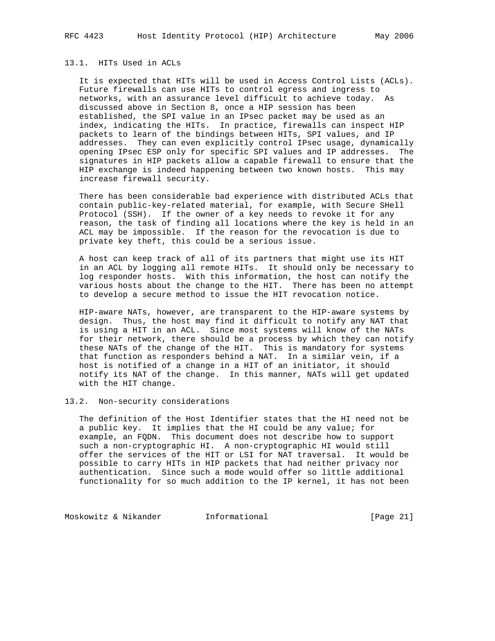# 13.1. HITs Used in ACLs

 It is expected that HITs will be used in Access Control Lists (ACLs). Future firewalls can use HITs to control egress and ingress to networks, with an assurance level difficult to achieve today. As discussed above in Section 8, once a HIP session has been established, the SPI value in an IPsec packet may be used as an index, indicating the HITs. In practice, firewalls can inspect HIP packets to learn of the bindings between HITs, SPI values, and IP addresses. They can even explicitly control IPsec usage, dynamically opening IPsec ESP only for specific SPI values and IP addresses. The signatures in HIP packets allow a capable firewall to ensure that the HIP exchange is indeed happening between two known hosts. This may increase firewall security.

 There has been considerable bad experience with distributed ACLs that contain public-key-related material, for example, with Secure SHell Protocol (SSH). If the owner of a key needs to revoke it for any reason, the task of finding all locations where the key is held in an ACL may be impossible. If the reason for the revocation is due to private key theft, this could be a serious issue.

 A host can keep track of all of its partners that might use its HIT in an ACL by logging all remote HITs. It should only be necessary to log responder hosts. With this information, the host can notify the various hosts about the change to the HIT. There has been no attempt to develop a secure method to issue the HIT revocation notice.

 HIP-aware NATs, however, are transparent to the HIP-aware systems by design. Thus, the host may find it difficult to notify any NAT that is using a HIT in an ACL. Since most systems will know of the NATs for their network, there should be a process by which they can notify these NATs of the change of the HIT. This is mandatory for systems that function as responders behind a NAT. In a similar vein, if a host is notified of a change in a HIT of an initiator, it should notify its NAT of the change. In this manner, NATs will get updated with the HIT change.

#### 13.2. Non-security considerations

 The definition of the Host Identifier states that the HI need not be a public key. It implies that the HI could be any value; for example, an FQDN. This document does not describe how to support such a non-cryptographic HI. A non-cryptographic HI would still offer the services of the HIT or LSI for NAT traversal. It would be possible to carry HITs in HIP packets that had neither privacy nor authentication. Since such a mode would offer so little additional functionality for so much addition to the IP kernel, it has not been

Moskowitz & Nikander 1nformational [Page 21]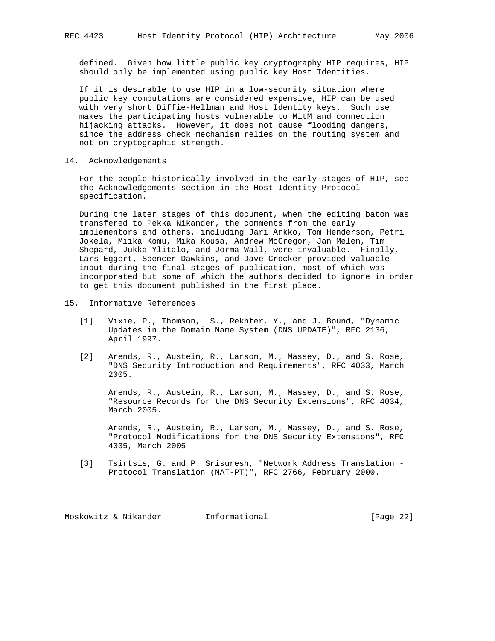defined. Given how little public key cryptography HIP requires, HIP should only be implemented using public key Host Identities.

 If it is desirable to use HIP in a low-security situation where public key computations are considered expensive, HIP can be used with very short Diffie-Hellman and Host Identity keys. Such use makes the participating hosts vulnerable to MitM and connection hijacking attacks. However, it does not cause flooding dangers, since the address check mechanism relies on the routing system and not on cryptographic strength.

14. Acknowledgements

 For the people historically involved in the early stages of HIP, see the Acknowledgements section in the Host Identity Protocol specification.

 During the later stages of this document, when the editing baton was transfered to Pekka Nikander, the comments from the early implementors and others, including Jari Arkko, Tom Henderson, Petri Jokela, Miika Komu, Mika Kousa, Andrew McGregor, Jan Melen, Tim Shepard, Jukka Ylitalo, and Jorma Wall, were invaluable. Finally, Lars Eggert, Spencer Dawkins, and Dave Crocker provided valuable input during the final stages of publication, most of which was incorporated but some of which the authors decided to ignore in order to get this document published in the first place.

#### 15. Informative References

- [1] Vixie, P., Thomson, S., Rekhter, Y., and J. Bound, "Dynamic Updates in the Domain Name System (DNS UPDATE)", RFC 2136, April 1997.
- [2] Arends, R., Austein, R., Larson, M., Massey, D., and S. Rose, "DNS Security Introduction and Requirements", RFC 4033, March 2005.

 Arends, R., Austein, R., Larson, M., Massey, D., and S. Rose, "Resource Records for the DNS Security Extensions", RFC 4034, March 2005.

 Arends, R., Austein, R., Larson, M., Massey, D., and S. Rose, "Protocol Modifications for the DNS Security Extensions", RFC 4035, March 2005

 [3] Tsirtsis, G. and P. Srisuresh, "Network Address Translation - Protocol Translation (NAT-PT)", RFC 2766, February 2000.

Moskowitz & Nikander Informational [Page 22]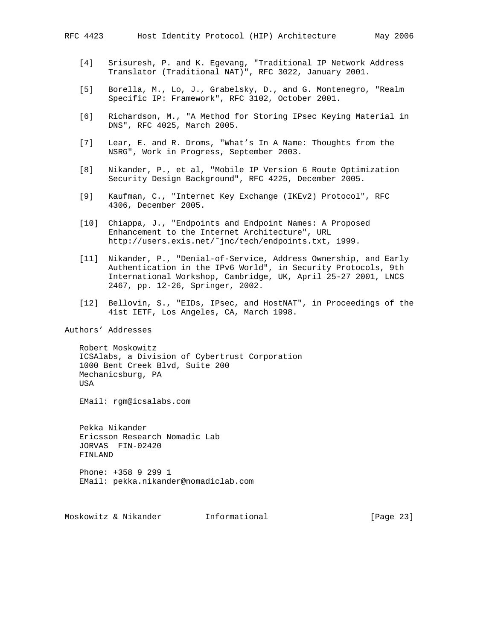- [4] Srisuresh, P. and K. Egevang, "Traditional IP Network Address Translator (Traditional NAT)", RFC 3022, January 2001.
- [5] Borella, M., Lo, J., Grabelsky, D., and G. Montenegro, "Realm Specific IP: Framework", RFC 3102, October 2001.
- [6] Richardson, M., "A Method for Storing IPsec Keying Material in DNS", RFC 4025, March 2005.
- [7] Lear, E. and R. Droms, "What's In A Name: Thoughts from the NSRG", Work in Progress, September 2003.
- [8] Nikander, P., et al, "Mobile IP Version 6 Route Optimization Security Design Background", RFC 4225, December 2005.
- [9] Kaufman, C., "Internet Key Exchange (IKEv2) Protocol", RFC 4306, December 2005.
- [10] Chiappa, J., "Endpoints and Endpoint Names: A Proposed Enhancement to the Internet Architecture", URL http://users.exis.net/˜jnc/tech/endpoints.txt, 1999.
- [11] Nikander, P., "Denial-of-Service, Address Ownership, and Early Authentication in the IPv6 World", in Security Protocols, 9th International Workshop, Cambridge, UK, April 25-27 2001, LNCS 2467, pp. 12-26, Springer, 2002.
- [12] Bellovin, S., "EIDs, IPsec, and HostNAT", in Proceedings of the 41st IETF, Los Angeles, CA, March 1998.

Authors' Addresses

 Robert Moskowitz ICSAlabs, a Division of Cybertrust Corporation 1000 Bent Creek Blvd, Suite 200 Mechanicsburg, PA USA

EMail: rgm@icsalabs.com

 Pekka Nikander Ericsson Research Nomadic Lab JORVAS FIN-02420 FINLAND

 Phone: +358 9 299 1 EMail: pekka.nikander@nomadiclab.com

Moskowitz & Nikander Informational [Page 23]